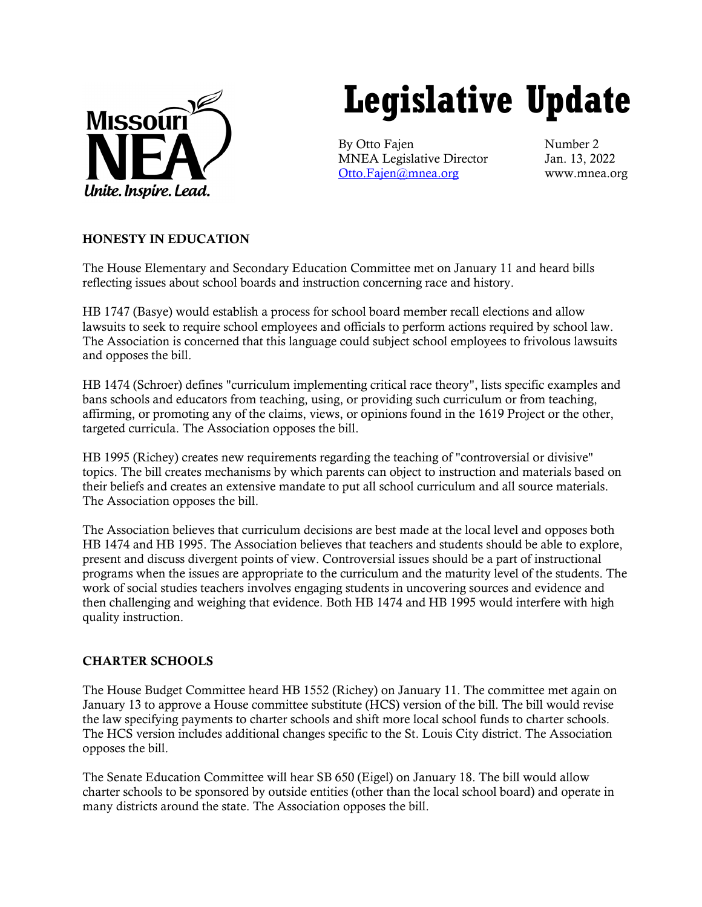

# **Legislative Update**

By Otto Fajen Number 2 MNEA Legislative Director Jan. 13, 2022 [Otto.Fajen@mnea.org](mailto:Otto.Fajen@mnea.org) www.mnea.org

## HONESTY IN EDUCATION

The House Elementary and Secondary Education Committee met on January 11 and heard bills reflecting issues about school boards and instruction concerning race and history.

HB 1747 (Basye) would establish a process for school board member recall elections and allow lawsuits to seek to require school employees and officials to perform actions required by school law. The Association is concerned that this language could subject school employees to frivolous lawsuits and opposes the bill.

HB 1474 (Schroer) defines "curriculum implementing critical race theory", lists specific examples and bans schools and educators from teaching, using, or providing such curriculum or from teaching, affirming, or promoting any of the claims, views, or opinions found in the 1619 Project or the other, targeted curricula. The Association opposes the bill.

HB 1995 (Richey) creates new requirements regarding the teaching of "controversial or divisive" topics. The bill creates mechanisms by which parents can object to instruction and materials based on their beliefs and creates an extensive mandate to put all school curriculum and all source materials. The Association opposes the bill.

The Association believes that curriculum decisions are best made at the local level and opposes both HB 1474 and HB 1995. The Association believes that teachers and students should be able to explore, present and discuss divergent points of view. Controversial issues should be a part of instructional programs when the issues are appropriate to the curriculum and the maturity level of the students. The work of social studies teachers involves engaging students in uncovering sources and evidence and then challenging and weighing that evidence. Both HB 1474 and HB 1995 would interfere with high quality instruction.

## CHARTER SCHOOLS

The House Budget Committee heard HB 1552 (Richey) on January 11. The committee met again on January 13 to approve a House committee substitute (HCS) version of the bill. The bill would revise the law specifying payments to charter schools and shift more local school funds to charter schools. The HCS version includes additional changes specific to the St. Louis City district. The Association opposes the bill.

The Senate Education Committee will hear SB 650 (Eigel) on January 18. The bill would allow charter schools to be sponsored by outside entities (other than the local school board) and operate in many districts around the state. The Association opposes the bill.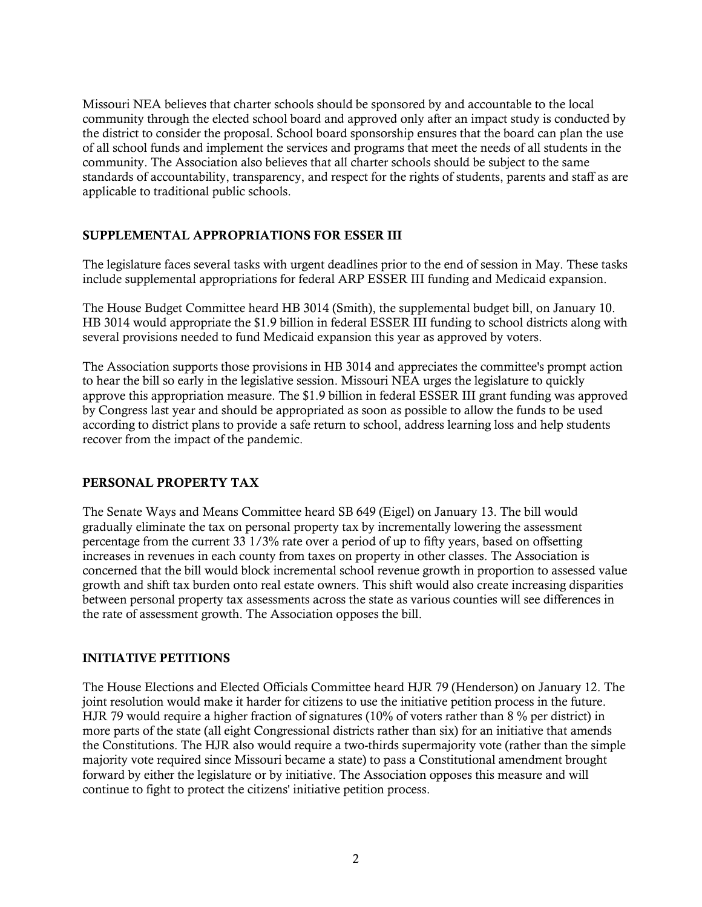Missouri NEA believes that charter schools should be sponsored by and accountable to the local community through the elected school board and approved only after an impact study is conducted by the district to consider the proposal. School board sponsorship ensures that the board can plan the use of all school funds and implement the services and programs that meet the needs of all students in the community. The Association also believes that all charter schools should be subject to the same standards of accountability, transparency, and respect for the rights of students, parents and staff as are applicable to traditional public schools.

### SUPPLEMENTAL APPROPRIATIONS FOR ESSER III

The legislature faces several tasks with urgent deadlines prior to the end of session in May. These tasks include supplemental appropriations for federal ARP ESSER III funding and Medicaid expansion.

The House Budget Committee heard HB 3014 (Smith), the supplemental budget bill, on January 10. HB 3014 would appropriate the \$1.9 billion in federal ESSER III funding to school districts along with several provisions needed to fund Medicaid expansion this year as approved by voters.

The Association supports those provisions in HB 3014 and appreciates the committee's prompt action to hear the bill so early in the legislative session. Missouri NEA urges the legislature to quickly approve this appropriation measure. The \$1.9 billion in federal ESSER III grant funding was approved by Congress last year and should be appropriated as soon as possible to allow the funds to be used according to district plans to provide a safe return to school, address learning loss and help students recover from the impact of the pandemic.

### PERSONAL PROPERTY TAX

The Senate Ways and Means Committee heard SB 649 (Eigel) on January 13. The bill would gradually eliminate the tax on personal property tax by incrementally lowering the assessment percentage from the current 33 1/3% rate over a period of up to fifty years, based on offsetting increases in revenues in each county from taxes on property in other classes. The Association is concerned that the bill would block incremental school revenue growth in proportion to assessed value growth and shift tax burden onto real estate owners. This shift would also create increasing disparities between personal property tax assessments across the state as various counties will see differences in the rate of assessment growth. The Association opposes the bill.

### INITIATIVE PETITIONS

The House Elections and Elected Officials Committee heard HJR 79 (Henderson) on January 12. The joint resolution would make it harder for citizens to use the initiative petition process in the future. HJR 79 would require a higher fraction of signatures (10% of voters rather than 8 % per district) in more parts of the state (all eight Congressional districts rather than six) for an initiative that amends the Constitutions. The HJR also would require a two-thirds supermajority vote (rather than the simple majority vote required since Missouri became a state) to pass a Constitutional amendment brought forward by either the legislature or by initiative. The Association opposes this measure and will continue to fight to protect the citizens' initiative petition process.